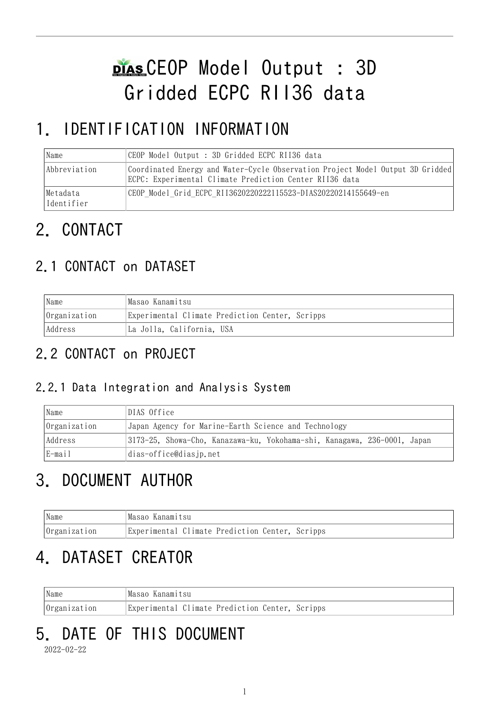# CEOP Model Output : 3D Gridded ECPC RII36 data

# 1. IDENTIFICATION INFORMATION

| Name                   | CEOP Model Output : 3D Gridded ECPC RII36 data                                                                                            |  |  |
|------------------------|-------------------------------------------------------------------------------------------------------------------------------------------|--|--|
| Abbreviation           | Coordinated Energy and Water-Cycle Observation Project Model Output 3D Gridded<br>ECPC: Experimental Climate Prediction Center RII36 data |  |  |
| Metadata<br>Identifier | CEOP Model Grid ECPC RII3620220222115523-DIAS20220214155649-en                                                                            |  |  |

# 2. CONTACT

# 2.1 CONTACT on DATASET

| Name         | Masao Kanamitsu                                 |  |
|--------------|-------------------------------------------------|--|
| Organization | Experimental Climate Prediction Center, Scripps |  |
| Address      | La Jolla, California, USA                       |  |

## 2.2 CONTACT on PROJECT

### 2.2.1 Data Integration and Analysis System

| Name         | DIAS Office                                                              |  |  |
|--------------|--------------------------------------------------------------------------|--|--|
| Organization | Japan Agency for Marine-Earth Science and Technology                     |  |  |
| Address      | 3173-25, Showa-Cho, Kanazawa-ku, Yokohama-shi, Kanagawa, 236-0001, Japan |  |  |
| $E$ -mail    | dias-office@diasjp.net                                                   |  |  |

# 3. DOCUMENT AUTHOR

| Name                | Masao Kanamitsu                                 |  |
|---------------------|-------------------------------------------------|--|
| <i>Organization</i> | Experimental Climate Prediction Center, Scripps |  |

# 4. DATASET CREATOR

| 'Name               | Masao Kanamitsu                                 |  |
|---------------------|-------------------------------------------------|--|
| <i>Organization</i> | Experimental Climate Prediction Center, Scripps |  |

# 5. DATE OF THIS DOCUMENT

2022-02-22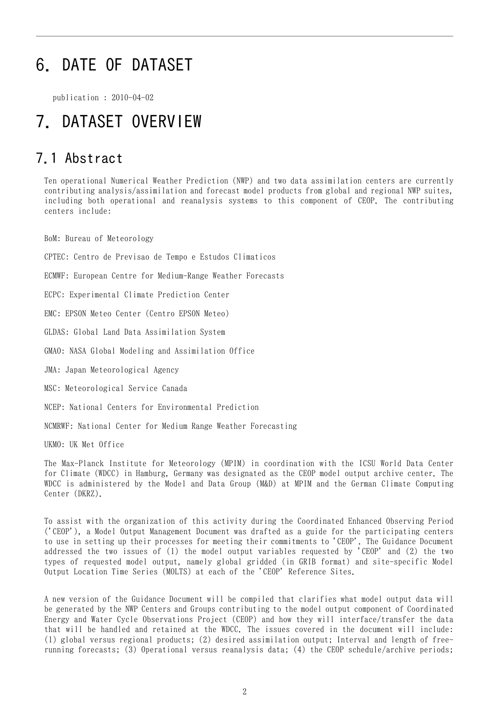# 6. DATE OF DATASET

publication : 2010-04-02

# 7. DATASET OVERVIEW

### 7.1 Abstract

Ten operational Numerical Weather Prediction (NWP) and two data assimilation centers are currently contributing analysis/assimilation and forecast model products from global and regional NWP suites, including both operational and reanalysis systems to this component of CEOP. The contributing centers include:

BoM: Bureau of Meteorology

CPTEC: Centro de Previsao de Tempo e Estudos Climaticos

ECMWF: European Centre for Medium-Range Weather Forecasts

ECPC: Experimental Climate Prediction Center

EMC: EPSON Meteo Center (Centro EPSON Meteo)

GLDAS: Global Land Data Assimilation System

GMAO: NASA Global Modeling and Assimilation Office

JMA: Japan Meteorological Agency

MSC: Meteorological Service Canada

NCEP: National Centers for Environmental Prediction

NCMRWF: National Center for Medium Range Weather Forecasting

UKMO: UK Met Office

The Max-Planck Institute for Meteorology (MPIM) in coordination with the ICSU World Data Center for Climate (WDCC) in Hamburg, Germany was designated as the CEOP model output archive center. The WDCC is administered by the Model and Data Group (M&D) at MPIM and the German Climate Computing Center (DKRZ).

To assist with the organization of this activity during the Coordinated Enhanced Observing Period ('CEOP'), a Model Output Management Document was drafted as a guide for the participating centers to use in setting up their processes for meeting their commitments to 'CEOP'. The Guidance Document addressed the two issues of (1) the model output variables requested by 'CEOP' and (2) the two types of requested model output, namely global gridded (in GRIB format) and site-specific Model Output Location Time Series (MOLTS) at each of the 'CEOP' Reference Sites.

A new version of the Guidance Document will be compiled that clarifies what model output data will be generated by the NWP Centers and Groups contributing to the model output component of Coordinated Energy and Water Cycle Observations Project (CEOP) and how they will interface/transfer the data that will be handled and retained at the WDCC. The issues covered in the document will include: (1) global versus regional products; (2) desired assimilation output; Interval and length of freerunning forecasts; (3) Operational versus reanalysis data; (4) the CEOP schedule/archive periods;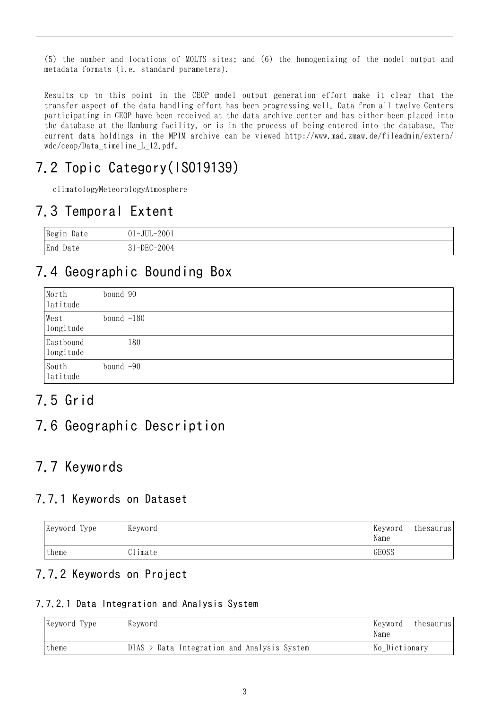(5) the number and locations of MOLTS sites; and (6) the homogenizing of the model output and metadata formats (i.e. standard parameters).

Results up to this point in the CEOP model output generation effort make it clear that the transfer aspect of the data handling effort has been progressing well. Data from all twelve Centers participating in CEOP have been received at the data archive center and has either been placed into the database at the Hamburg facility, or is in the process of being entered into the database. The current data holdings in the MPIM archive can be viewed http://www.mad.zmaw.de/fileadmin/extern/ wdc/ceop/Data\_timeline\_L\_12.pdf.

## 7.2 Topic Category(ISO19139)

climatologyMeteorologyAtmosphere

### 7.3 Temporal Extent

| Begin Date | $ 01 - JUL - 2001 $ |
|------------|---------------------|
| End Date   | $31 - DEC - 2004$   |

## 7.4 Geographic Bounding Box

| North<br>latitude      | bound $90$               |     |
|------------------------|--------------------------|-----|
| West<br>longitude      | bound $-180$             |     |
| Eastbound<br>longitude |                          | 180 |
| South<br>latitude      | bound $\left -90\right $ |     |

## 7.5 Grid

### 7.6 Geographic Description

## 7.7 Keywords

#### 7.7.1 Keywords on Dataset

| Keyword Type | Keyword | Keyword<br>Name | thesaurus |
|--------------|---------|-----------------|-----------|
| 'theme       | Climate | GEOSS           |           |

#### 7.7.2 Keywords on Project

#### 7.7.2.1 Data Integration and Analysis System

| Keyword Type | Keyword                                       | Keyword<br>thesaurus<br>Name |
|--------------|-----------------------------------------------|------------------------------|
| theme        | $DIAS$ > Data Integration and Analysis System | No Dictionary                |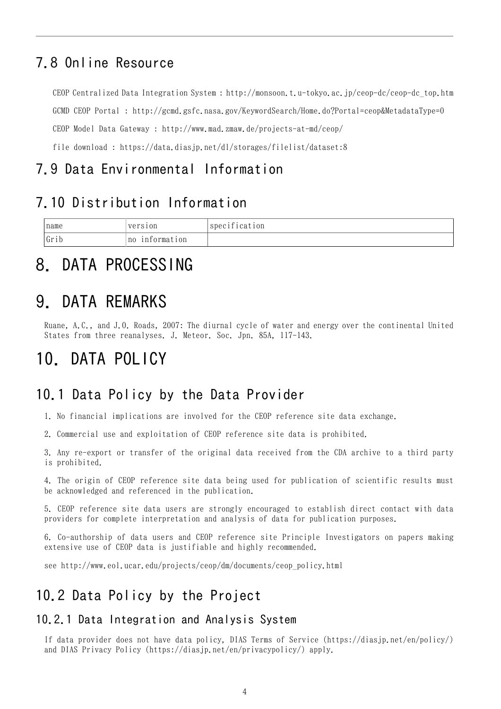### 7.8 Online Resource

CEOP Centralized Data Integration System : [http://monsoon.t.u-tokyo.ac.jp/ceop-dc/ceop-dc\\_top.htm](http://monsoon.t.u-tokyo.ac.jp/ceop-dc/ceop-dc_top.htm) GCMD CEOP Portal : <http://gcmd.gsfc.nasa.gov/KeywordSearch/Home.do?Portal=ceop&MetadataType=0> CEOP Model Data Gateway : <http://www.mad.zmaw.de/projects-at-md/ceop/> file download : <https://data.diasjp.net/dl/storages/filelist/dataset:8>

### 7.9 Data Environmental Information

### 7.10 Distribution Information

| name                        | version            | $\sim$ $\cdot$<br>lcation<br>spec1 |
|-----------------------------|--------------------|------------------------------------|
| $\cdot$ ,<br>$\sim$<br>Grib | information<br>no. |                                    |

# 8. DATA PROCESSING

# 9. DATA REMARKS

Ruane, A.C., and J.O. Roads, 2007: The diurnal cycle of water and energy over the continental United States from three reanalyses. J. Meteor. Soc. Jpn. 85A, 117-143.

# 10. DATA POLICY

### 10.1 Data Policy by the Data Provider

1. No financial implications are involved for the CEOP reference site data exchange.

2. Commercial use and exploitation of CEOP reference site data is prohibited.

3. Any re-export or transfer of the original data received from the CDA archive to a third party is prohibited.

4. The origin of CEOP reference site data being used for publication of scientific results must be acknowledged and referenced in the publication.

5. CEOP reference site data users are strongly encouraged to establish direct contact with data providers for complete interpretation and analysis of data for publication purposes.

6. Co-authorship of data users and CEOP reference site Principle Investigators on papers making extensive use of CEOP data is justifiable and highly recommended.

see http://www.eol.ucar.edu/projects/ceop/dm/documents/ceop\_policy.html

### 10.2 Data Policy by the Project

#### 10.2.1 Data Integration and Analysis System

If data provider does not have data policy, DIAS Terms of Service (https://diasjp.net/en/policy/) and DIAS Privacy Policy (https://diasjp.net/en/privacypolicy/) apply.